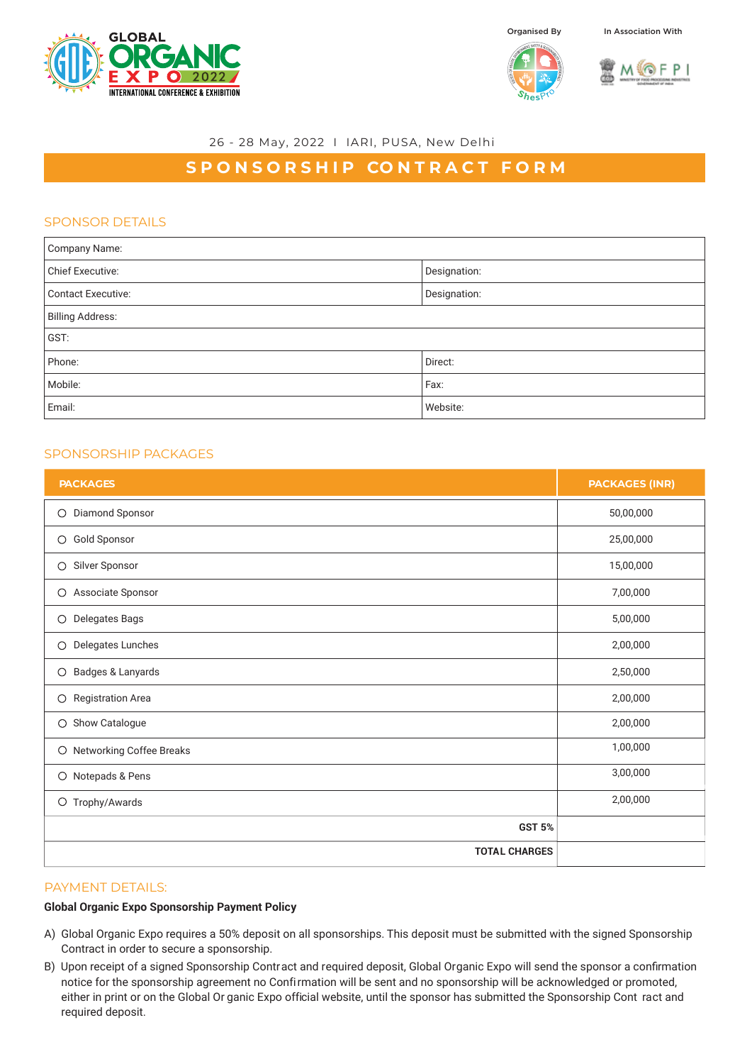

Organised By In Association With





## 26 - 28 May, 2022 I IARI, PUSA, New Delhi

# **SPONSORSHIP CONTRACT FORM**

# SPONSOR DETAILS

| Company Name:             |              |  |
|---------------------------|--------------|--|
| <b>Chief Executive:</b>   | Designation: |  |
| <b>Contact Executive:</b> | Designation: |  |
| <b>Billing Address:</b>   |              |  |
| GST:                      |              |  |
| Phone:                    | Direct:      |  |
| Mobile:                   | Fax:         |  |
| Email:                    | Website:     |  |

## SPONSORSHIP PACKAGES

| <b>PACKAGES</b>                     | <b>PACKAGES (INR)</b> |
|-------------------------------------|-----------------------|
| Diamond Sponsor<br>О                | 50,00,000             |
| Gold Sponsor<br>O                   | 25,00,000             |
| Silver Sponsor<br>О                 | 15,00,000             |
| Associate Sponsor<br>О              | 7,00,000              |
| <b>Delegates Bags</b><br>О          | 5,00,000              |
| Delegates Lunches<br>О              | 2,00,000              |
| Badges & Lanyards<br>О              | 2,50,000              |
| <b>Registration Area</b><br>$\circ$ | 2,00,000              |
| Show Catalogue<br>$\circ$           | 2,00,000              |
| O Networking Coffee Breaks          | 1,00,000              |
| O Notepads & Pens                   | 3,00,000              |
| O Trophy/Awards                     | 2,00,000              |
| <b>GST 5%</b>                       |                       |
| <b>TOTAL CHARGES</b>                |                       |

#### PAYMENT DETAILS:

#### **Global Organic Expo Sponsorship Payment Policy**

- A) Global Organic Expo requires a 50% deposit on all sponsorships. This deposit must be submitted with the signed Sponsorship Contract in order to secure a sponsorship.
- B) Upon receipt of a signed Sponsorship Contract and required deposit, Global Organic Expo will send the sponsor a confirmation notice for the sponsorship agreement no Confirmation will be sent and no sponsorship will be acknowledged or promoted, either in print or on the Global Or ganic Expo official website, until the sponsor has submitted the Sponsorship Cont ract and required deposit.